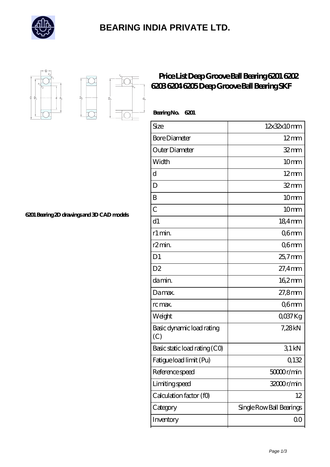

## **[BEARING INDIA PRIVATE LTD.](https://buhner-schaible.de)**



 $D_a$ 

'n.

## **[Price List Deep Groove Ball Bearing 6201 6202](https://buhner-schaible.de/af-810378-price-list-deep-groove-ball-bearing-6201-6202-6203-6204-6205-deep-groove-ball-bearing-skf.html) [6203 6204 6205 Deep Groove Ball Bearing SKF](https://buhner-schaible.de/af-810378-price-list-deep-groove-ball-bearing-6201-6202-6203-6204-6205-deep-groove-ball-bearing-skf.html)**

| BearingNo.<br>6201               |                          |
|----------------------------------|--------------------------|
| Size                             | 12x32x10mm               |
| <b>Bore Diameter</b>             | $12 \text{mm}$           |
| Outer Diameter                   | 32mm                     |
| Width                            | 10 <sub>mm</sub>         |
| d                                | $12 \text{mm}$           |
| D                                | 32mm                     |
| B                                | 10 <sub>mm</sub>         |
| $\overline{C}$                   | 10 <sub>mm</sub>         |
| d1                               | 18,4mm                   |
| r1 min.                          | Q6mm                     |
| r2min.                           | Q6mm                     |
| D <sub>1</sub>                   | 25,7mm                   |
| D <sub>2</sub>                   | 27,4mm                   |
| da min.                          | 162mm                    |
| Damax.                           | 27,8mm                   |
| rc max.                          | Q6mm                     |
| Weight                           | QO37Kg                   |
| Basic dynamic load rating<br>(C) | 7,28kN                   |
| Basic static load rating (CO)    | 31kN                     |
| Fatigue load limit (Pu)          | Q132                     |
| Reference speed                  | 50000r/min               |
| Limiting speed                   | 32000r/min               |
| Calculation factor (f0)          | 12                       |
| Category                         | Single Row Ball Bearings |
| Inventory                        | 0 <sub>0</sub>           |

**[6201 Bearing 2D drawings and 3D CAD models](https://buhner-schaible.de/pic-810378.html)**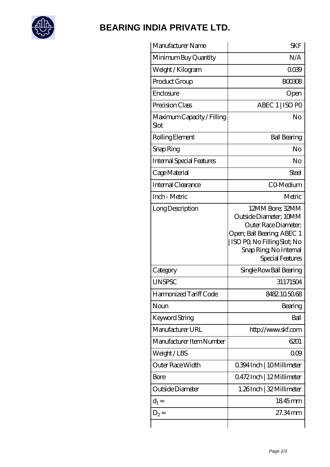

## **[BEARING INDIA PRIVATE LTD.](https://buhner-schaible.de)**

| Manufacturer Name                  | SKF                                                                                                                                                                          |
|------------------------------------|------------------------------------------------------------------------------------------------------------------------------------------------------------------------------|
| Minimum Buy Quantity               | N/A                                                                                                                                                                          |
| Weight/Kilogram                    | 0039                                                                                                                                                                         |
| Product Group                      | <b>BOO308</b>                                                                                                                                                                |
| Enclosure                          | Open                                                                                                                                                                         |
| Precision Class                    | ABEC 1   ISO PO                                                                                                                                                              |
| Maximum Capacity / Filling<br>Slot | No                                                                                                                                                                           |
| Rolling Element                    | <b>Ball Bearing</b>                                                                                                                                                          |
| Snap Ring                          | No                                                                                                                                                                           |
| <b>Internal Special Features</b>   | No                                                                                                                                                                           |
| Cage Material                      | Steel                                                                                                                                                                        |
| Internal Clearance                 | CO-Medium                                                                                                                                                                    |
| Inch - Metric                      | Metric                                                                                                                                                                       |
| Long Description                   | 12MM Bore; 32MM<br>Outside Diameter; 10MM<br>Outer Race Diameter;<br>Open; Ball Bearing; ABEC 1<br>ISO PO, No Filling Slot; No<br>Snap Ring, No Internal<br>Special Features |
| Category                           | Single Row Ball Bearing                                                                                                                                                      |
| <b>UNSPSC</b>                      | 31171504                                                                                                                                                                     |
| Harmonized Tariff Code             | 8482105068                                                                                                                                                                   |
| Noun                               | Bearing                                                                                                                                                                      |
| <b>Keyword String</b>              | Ball                                                                                                                                                                         |
| Manufacturer URL                   | http://www.skf.com                                                                                                                                                           |
| Manufacturer Item Number           | 6201                                                                                                                                                                         |
| Weight/LBS                         | 000                                                                                                                                                                          |
| Outer Race Width                   | 0.394 Inch   10 Millimeter                                                                                                                                                   |
| Bore                               | 0472Inch   12Millimeter                                                                                                                                                      |
| Outside Diameter                   | 1.26Inch   32 Millimeter                                                                                                                                                     |
| $\mathrm{d}_{1}$                   | 1845mm                                                                                                                                                                       |
| $D_2$                              | 27.34mm                                                                                                                                                                      |
|                                    |                                                                                                                                                                              |